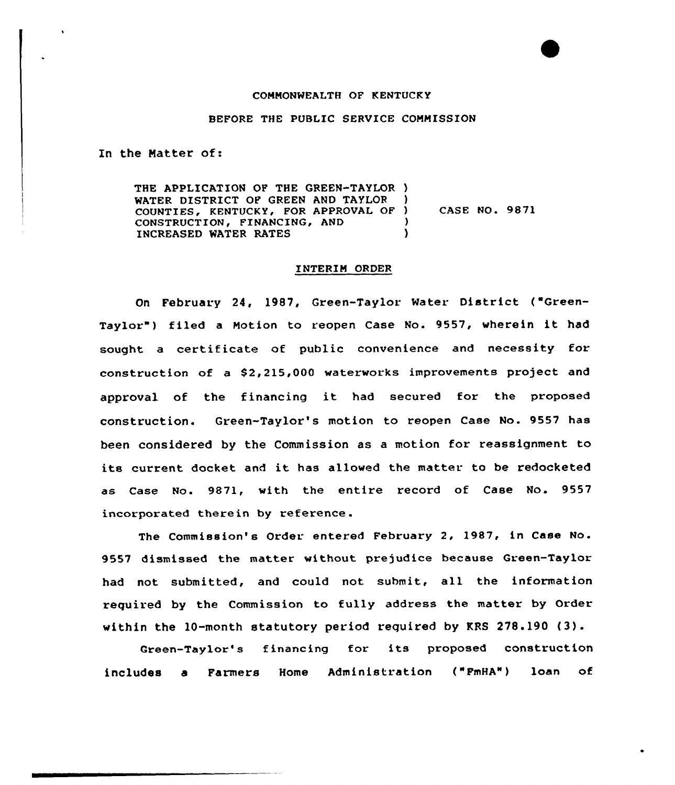## COMMONWEALTH OF KENTUCKY

## BEFORE THE PUBLIC SERVICE COMMISSION

In the Matter of:

THE APPLICATION OF THE GREEN-TAYLOR ) WATER DISTRICT OF GREEN AND TAYLOR COUNTIES, KENTUCKY, FOR APPROVAL OF ) CONSTRUCTION, FINANCING, AND (1997)<br>INCREASED WATER RATES INCREASED WATER RATES CASE NQ. 9871

## INTERIM ORDER

On February 24, 1987, Green-Taylor Water District ("Green-Taylor") filed a Motion to reopen Case No. 9557, wherein it had sought a certificate of public convenience and necessity for construction of a \$2,215,000 waterworks improvements project and approval of the financing it had secured for the proposed construction. Green-Taylor's motion to reopen Case No. 9557 has been considered by the Commission as a motion for reassignment to its current docket and it has allowed the matter to be redocketed as Case No. 9871, with the entire record of Case No. 9557 incorporated therein by reference.

The Commission's Order entered February 2, 1987, in Case No. 9557 dismissed the matter without prejudice because Green-Taylor had not submitted, and could not submit, all the information required by the Commission to fully address the matter by Order within the 10-month statutory period required by KRS 278.190 (3).

Green-Taylor's financing for its proposed construction includes a Farmers Home Administration ("FmHA") loan of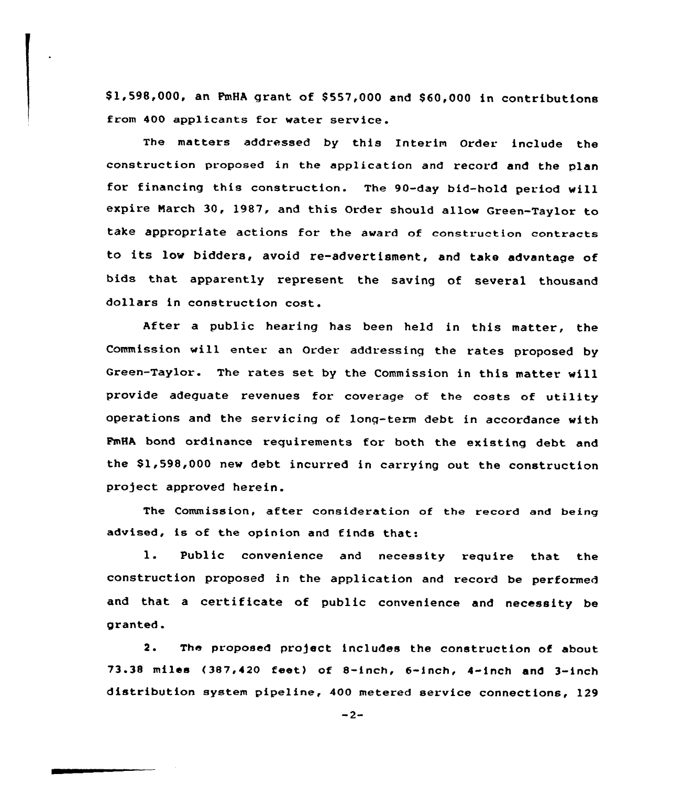\$ 1,598,000, an PmHA grant of \$ 557,000 and \$ 60,000 in contributions from 400 applicants for water service.

The matters addressed by this Interim Order. include the construction proposed in the application and record and the plan for financing this construction. The 90-day bid-hold period will expire Narch 30, 1987, and this Order should allow Green-Taylor to take appropriate actions for the award of construction contracts to its low bidders, avoid re-advertisment, and take advantage of bids that apparently represent the saving of several thousand dollars in construction cost.

After a public hearing has been held in this matter, the Commission will enter an Order addressing the rates proposed by Green-Taylor. The rates set. by the Commission in this matter will provide adeguate revenues for coverage of the costs of utility operations and the servicing of lonq-term debt in accordance with FmHA bond ordinance requirements for both the existing debt and the \$1,598,000 new debt incurred in carrying out the construction project approved herein.

The Commission, after consideration of the record and being advised, is of the opinion and finds that:

1. Public convenience and necessity require that the construction proposed in the application and record be performed and that <sup>a</sup> certificate of public convenience and necessity be granted.

2. The proposed project includes the construction of about 73.38 miles (387,420 feet) of S-inch, 6-inch, 4-inch and 3-inch distribution system pipeline, 400 metered service connections, 129

 $-2-$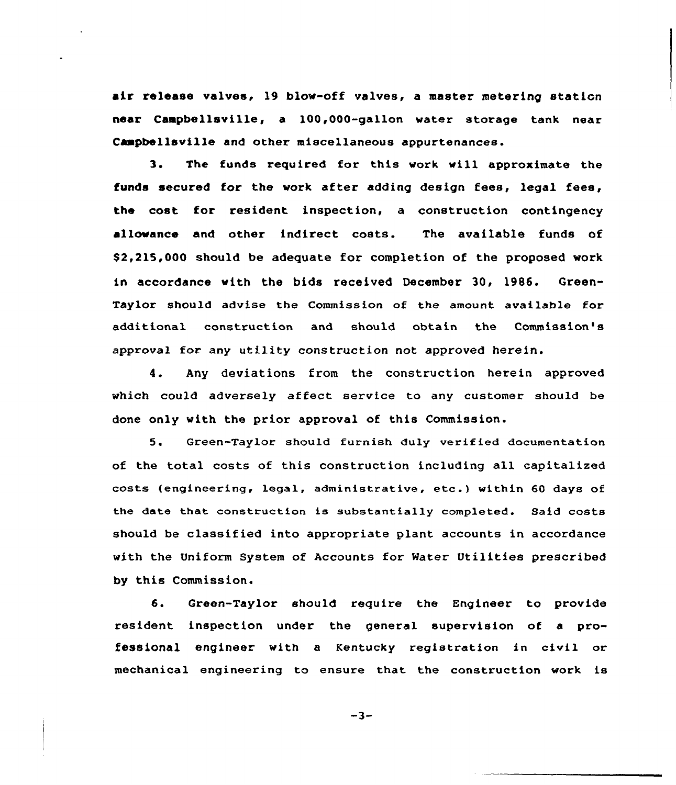air release valves, 19 blow-aff valves, a master metering station near Campbellsville, a 100,000-gallon water storage tank near Campbellsville and other miscellaneous appurtenances.

3. The funds required for this work vill approximate the funds secured for the work after adding design fees, legal fees, the cost for resident inspection, a construction contingency allowance and other indirect costs. The available funds of \$2,215,000 should be adequate for completion af the proposed work in accordance with the bids received December 30, 1986. Green-Taylor should advise the Commission of the amount available for additional construction and should obtain the Commission's approval for any utility construction not approved herein.

4. Any deviations from the construction herein approved which could adversely affect service to any customer should be done only with the prior appraval of this Commission.

5. Green-Taylor should furnish duly verified documentation of the total costs of this construction including all capitalized costs (engineering, legal, administrative, etc.) within <sup>60</sup> days of the date that construction is substantially completed. Said costs should be classified into appropriate plant accounts in accordance with the Uniform System of Accounts for Mater Utilities prescribed by this Commission.

6. Green-Taylor should require the Engineer to provide resident inspection under the general supervision of a professional engineer with a Kentucky registration in civil or mechanical engineering to ensure that the construction work is

 $-3-$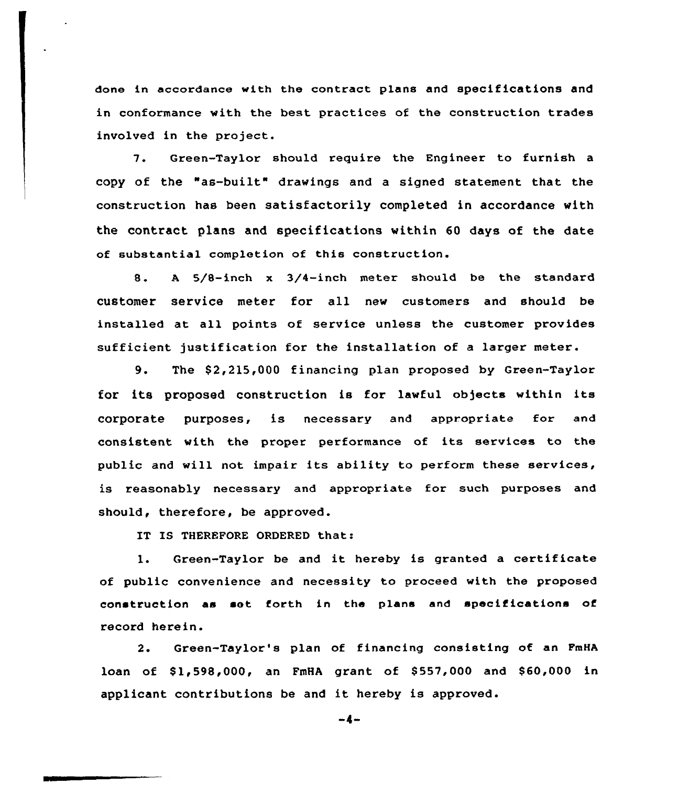done in accordance with the contract plans and specifications and in conformance with the best practices of the construction trades involved in the project.

7. Green-Taylor should require the Engineer to furnish <sup>a</sup> copy of the "as-built" drawings and <sup>a</sup> signed statement that the construction has been satisfactorily completed in accordance with the contract plans and specifications within 60 days of the date of substantial completion of this construction.

8. <sup>A</sup> 5/8-inch <sup>x</sup> 3/4-inch metex should be the standard customer service meter for all new customers and should be installed at all points of service unless the customer provides sufficient justification for the installation of a larger meter.

9. The \$2,215,000 financing plan proposed by Green-Taylor for its proposed construction is for lawful objects within its corporate purposes, is necessary and appropriate for and consistent with the pxoper performance of its services to the public and will not impair its ability to perform these sexvices, is reasonably necessary and appropriate for such purposes and should, therefore, be approved.

IT IS THEREFORE ORDERED that:

1. Green-Taylor be and it hereby is granted <sup>a</sup> certificate of public convenience and necessity to proceed with the proposed construction as set forth in the plans and specifications of record here in.

2. Green-Taylor's plan of financing consisting of an FmHA loan of \$1,598,000, an FmHA grant of \$557,000 and \$60,000 in applicant contributions be and it hereby is approved.

 $-4-$